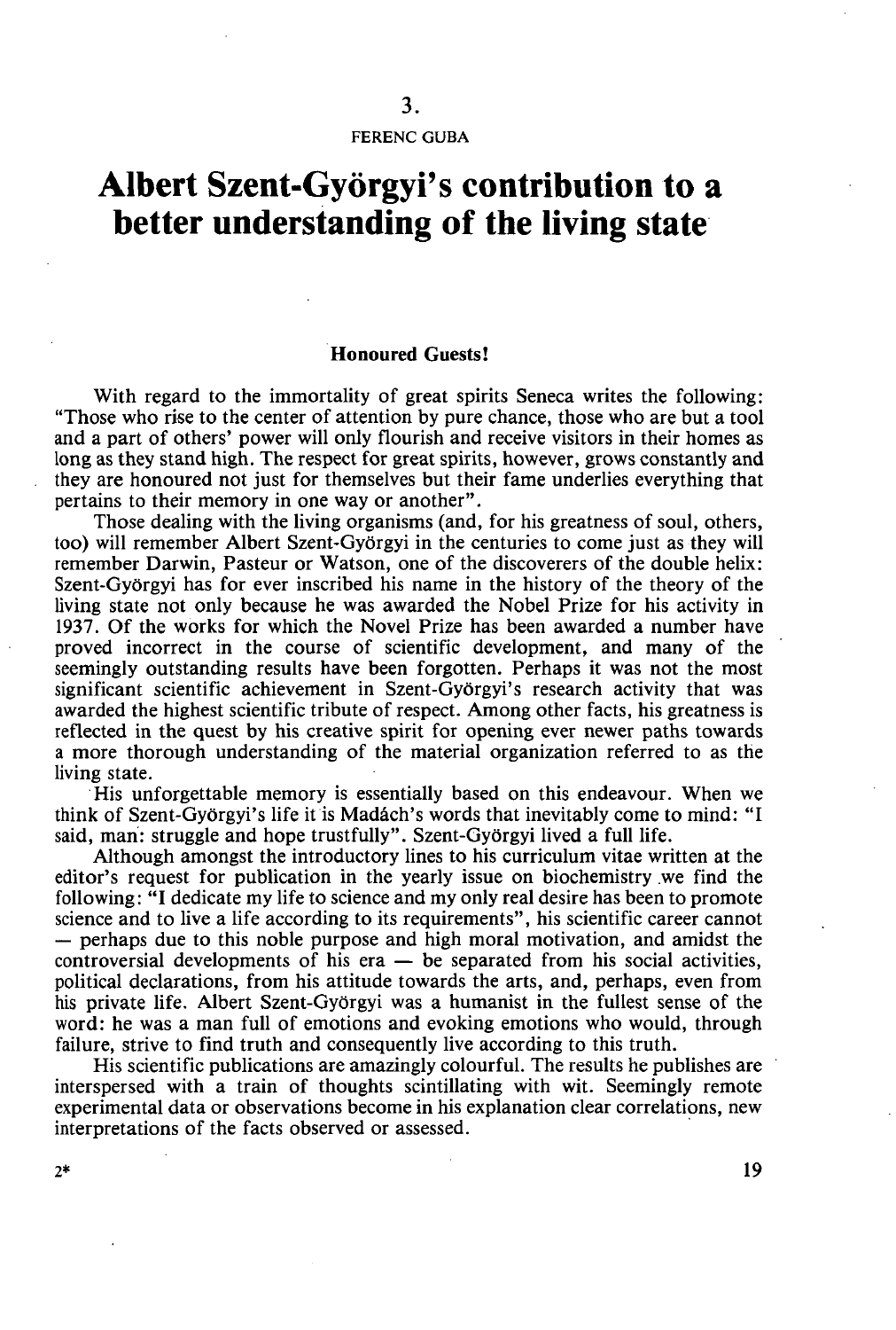FERENC GUBA

## **Albert Szent-Györgyi's contribution to a better understanding of the living state**

## **Honoured Guests!**

With regard to the immortality of great spirits Seneca writes the following: "Those who rise to the center of attention by pure chance, those who are but a tool and a part of others' power will only flourish and receive visitors in their homes as long as they stand high. The respect for great spirits, however, grows constantly and they are honoured not just for themselves but their fame underlies everything that pertains to their memory in one way or another".

Those dealing with the living organisms (and, for his greatness of soul, others, too) will remember Albert Szent-Györgyi in the centuries to come just as they will remember Darwin, Pasteur or Watson, one of the discoverers of the double helix: Szent-Györgyi has for ever inscribed his name in the history of the theory of the living state not only because he was awarded the Nobel Prize for his activity in 1937. Of the works for which the Novel Prize has been awarded a number have proved incorrect in the course of scientific development, and many of the seemingly outstanding results have been forgotten. Perhaps it was not the most significant scientific achievement in Szent-Györgyi's research activity that was awarded the highest scientific tribute of respect. Among other facts, his greatness is reflected in the quest by his creative spirit for opening ever newer paths towards a more thorough understanding of the material organization referred to as the living state.

His unforgettable memory is essentially based on this endeavour. When we think of Szent-Györgyi's life it is Madách's words that inevitably come to mind: "I said, man: struggle and hope trustfully". Szent-Györgyi lived a full life.

Although amongst the introductory lines to his curriculum vitae written at the editor's request for publication in the yearly issue on biochemistry we find the following: **"I** dedicate my life to science and my only real desire has been to promote science and to live a life according to its requirements", his scientific career cannot — perhaps due to this noble purpose and high moral motivation, and amidst the controversial developments of his era — be separated from his social activities, political declarations, from his attitude towards the arts, and, perhaps, even from his private life. Albert Szent-Györgyi was a humanist in the fullest sense of the word: he was a man full of emotions and evoking emotions who would, through failure, strive to find truth and consequently live according to this truth.

His scientific publications are amazingly colourful. The results he publishes are interspersed with a train of thoughts scintillating with wit. Seemingly remote experimental data or observations become in his explanation clear correlations, new interpretations of the facts observed or assessed.

 $2^*$  19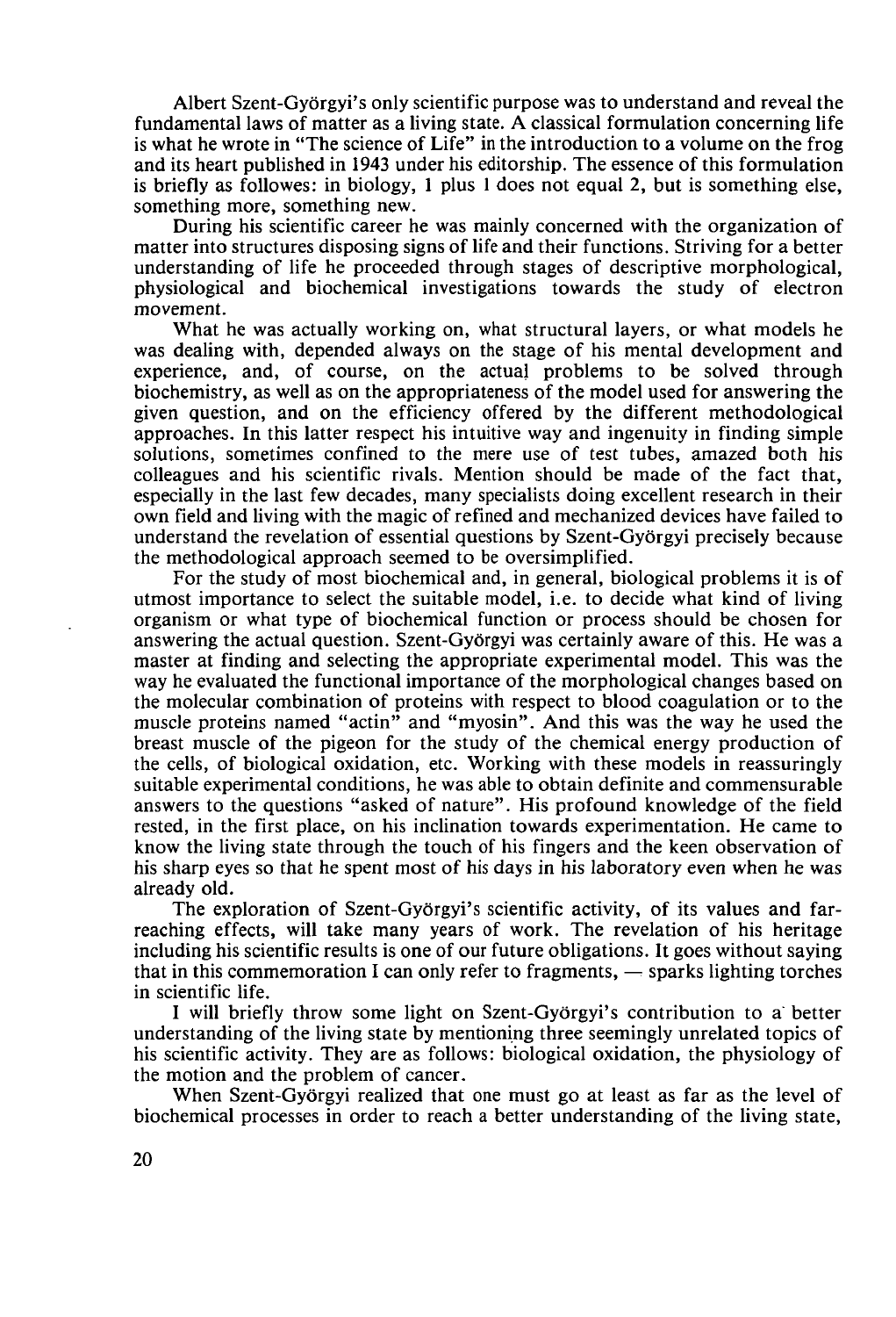Albert Szent-Györgyi's only scientific purpose was to understand and reveal the fundamental laws of matter as a living state. A classical formulation concerning life is what he wrote in "The science of Life" in the introduction to a volume on the frog and its heart published in 1943 under his editorship. The essence of this formulation is briefly as followes: in biology, 1 plus 1 does not equal 2, but is something else, something more, something new.

During his scientific career he was mainly concerned with the organization of matter into structures disposing signs of life and their functions. Striving for a better understanding of life he proceeded through stages of descriptive morphological, physiological and biochemical investigations towards the study of electron movement.

What he was actually working on, what structural layers, or what models he was dealing with, depended always on the stage of his mental development and experience, and, of course, on the actual problems to be solved through biochemistry, as well as on the appropriateness of the model used for answering the given question, and on the efficiency offered by the different methodological approaches. In this latter respect his intuitive way and ingenuity in finding simple solutions, sometimes confined to the mere use of test tubes, amazed both his colleagues and his scientific rivals. Mention should be made of the fact that, especially in the last few decades, many specialists doing excellent research in their own field and living with the magic of refined and mechanized devices have failed to understand the revelation of essential questions by Szent-Györgyi precisely because the methodological approach seemed to be oversimplified.

For the study of most biochemical and, in general, biological problems it is of utmost importance to select the suitable model, i.e. to decide what kind of living organism or what type of biochemical function or process should be chosen for answering the actual question. Szent-Györgyi was certainly aware of this. He was a master at finding and selecting the appropriate experimental model. This was the way he evaluated the functional importance of the morphological changes based on the molecular combination of proteins with respect to blood coagulation or to the muscle proteins named "actin" and "myosin". And this was the way he used the breast muscle of the pigeon for the study of the chemical energy production of the cells, of biological oxidation, etc. Working with these models in reassuringly suitable experimental conditions, he was able to obtain definite and commensurable answers to the questions "asked of nature". His profound knowledge of the field rested, in the first place, on his inclination towards experimentation. He came to know the living state through the touch of his fingers and the keen observation of his sharp eyes so that he spent most of his days in his laboratory even when he was already old.

The exploration of Szent-Györgyi's scientific activity, of its values and farreaching effects, will take many years of work. The revelation of his heritage including his scientific results is one of our future obligations. It goes without saying that in this commemoration I can only refer to fragments,  $\sim$  sparks lighting torches in scientific life.

I will briefly throw some light on Szent-Györgyi's contribution to a better understanding of the living state by mentioning three seemingly unrelated topics of his scientific activity. They are as follows: biological oxidation, the physiology of the motion and the problem of cancer.

When Szent-Györgyi realized that one must go at least as far as the level of biochemical processes in order to reach a better understanding of the living state,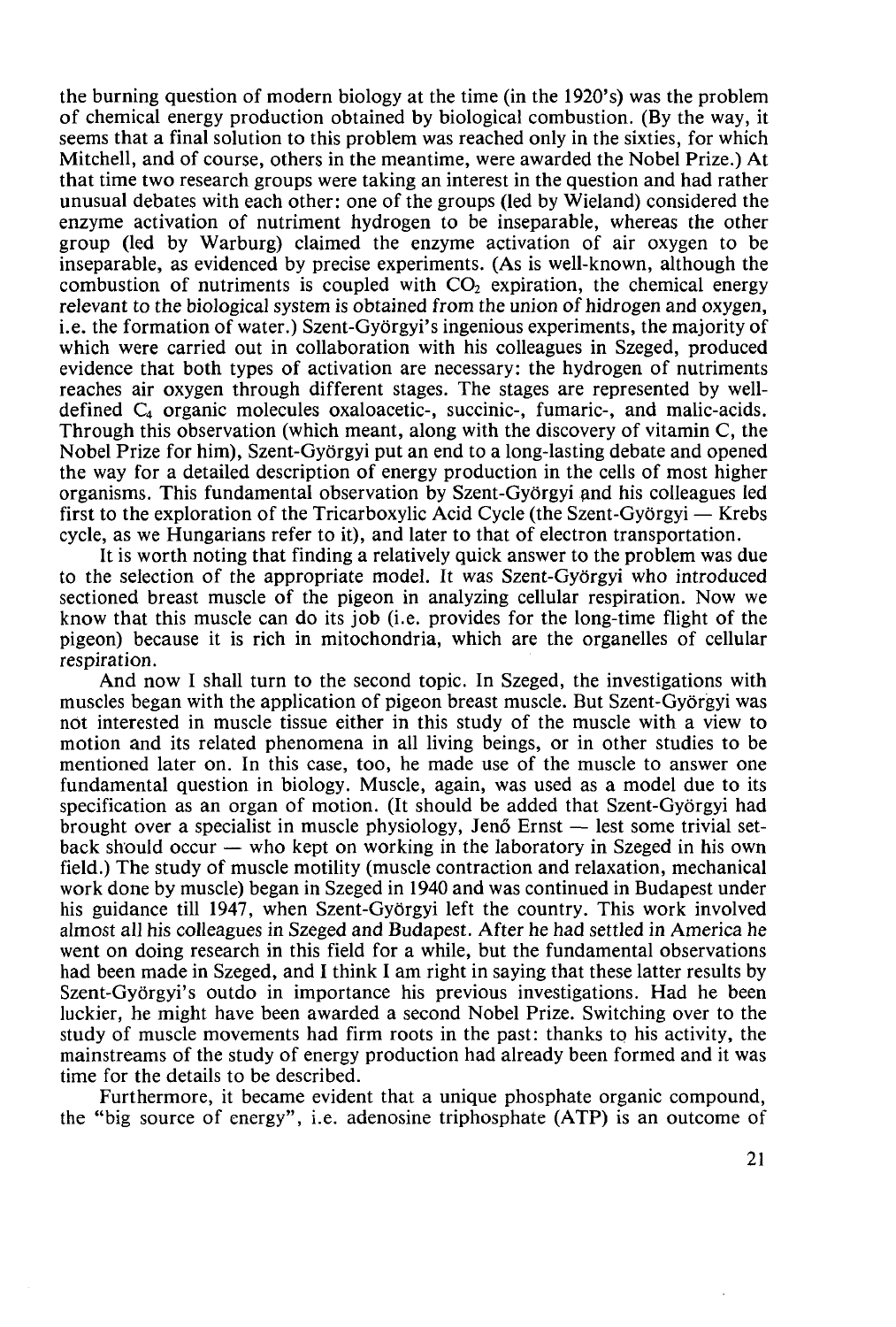the burning question of modern biology at the time (in the 1920's) was the problem of chemical energy production obtained by biological combustion. (By the way, it seems that a final solution to this problem was reached only in the sixties, for which Mitchell, and of course, others in the meantime, were awarded the Nobel Prize.) At that time two research groups were taking an interest in the question and had rather unusual debates with each other: one of the groups (led by Wieland) considered the enzyme activation of nutriment hydrogen to be inseparable, whereas the other group (led by Warburg) claimed the enzyme activation of air oxygen to be inseparable, as evidenced by precise experiments. (As is well-known, although the combustion of nutriments is coupled with  $CO<sub>2</sub>$  expiration, the chemical energy relevant to the biological system is obtained from the union of hidrogen and oxygen, i.e. the formation of water.) Szent-Györgyi's ingenious experiments, the majority of which were carried out in collaboration with his colleagues in Szeged, produced evidence that both types of activation are necessary: the hydrogen of nutriments reaches air oxygen through different stages. The stages are represented by welldefined  $C_4$  organic molecules oxaloacetic-, succinic-, fumaric-, and malic-acids. Through this observation (which meant, along with the discovery of vitamin C, the Nobel Prize for him), Szent-Györgyi put an end to a long-lasting debate and opened the way for a detailed description of energy production in the cells of most higher organisms. This fundamental observation by Szent-Györgyi and his colleagues led first to the exploration of the Tricarboxylic Acid Cycle (the Szent-Györgyi — Krebs cycle, as we Hungarians refer to it), and later to that of electron transportation.

It is worth noting that finding a relatively quick answer to the problem was due to the selection of the appropriate model. It was Szent-Györgyi who introduced sectioned breast muscle of the pigeon in analyzing cellular respiration. Now we know that this muscle can do its job (i.e. provides for the long-time flight of the pigeon) because it is rich in mitochondria, which are the organelles of cellular respiration.

And now I shall turn to the second topic. In Szeged, the investigations with muscles began with the application of pigeon breast muscle. But Szent-Györgyi was not interested in muscle tissue either in this study of the muscle with a view to motion and its related phenomena in all living beings, or in other studies to be mentioned later on. In this case, too, he made use of the muscle to answer one fundamental question in biology. Muscle, again, was used as a model due to its specification as an organ of motion. (It should be added that Szent-Györgyi had brought over a specialist in muscle physiology, Jenő Ernst — lest some trivial setback should occur — who kept on working in the laboratory in Szeged in his own field.) The study of muscle motility (muscle contraction and relaxation, mechanical work done by muscle) began in Szeged in 1940 and was continued in Budapest under his guidance till 1947, when Szent-Györgyi left the country. This work involved almost all his colleagues in Szeged and Budapest. After he had settled in America he went on doing research in this field for a while, but the fundamental observations had been made in Szeged, and I think I am right in saying that these latter results by Szent-Györgyi's outdo in importance his previous investigations. Had he been luckier, he might have been awarded a second Nobel Prize. Switching over to the study of muscle movements had firm roots in the past: thanks to his activity, the mainstreams of the study of energy production had already been formed and it was time for the details to be described.

Furthermore, it became evident that a unique phosphate organic compound, the "big source of energy", i.e. adenosine triphosphate (ATP) is an outcome of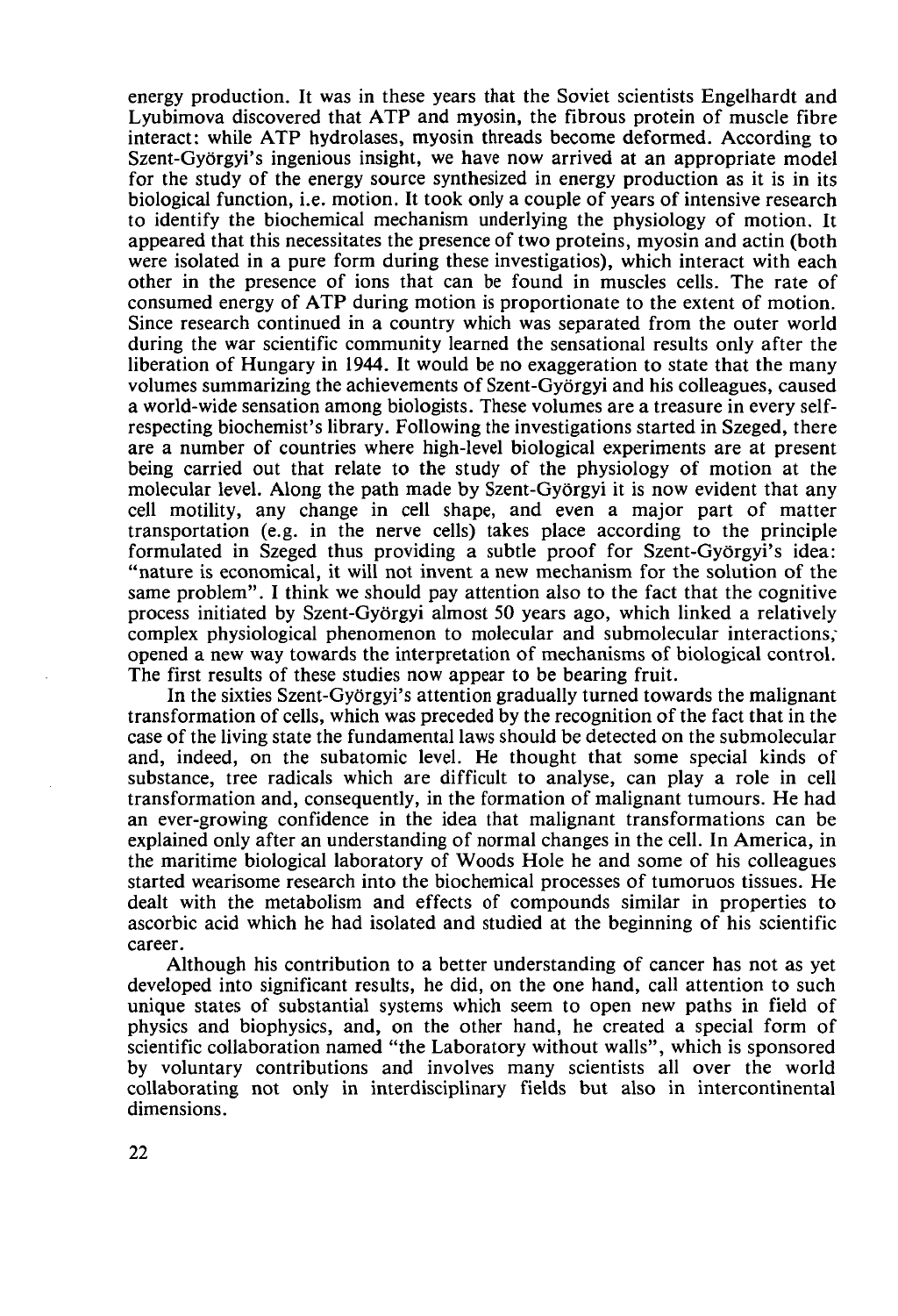energy production. It was in these years that the Soviet scientists Engelhardt and Lyubimova discovered that ATP and myosin, the fibrous protein of muscle fibre interact: while ATP hydrolases, myosin threads become deformed. According to Szent-Györgyi's ingenious insight, we have now arrived at an appropriate model for the study of the energy source synthesized in energy production as it is in its biological function, i.e. motion. It took only a couple of years of intensive research to identify the biochemical mechanism underlying the physiology of motion. It appeared that this necessitates the presence of two proteins, myosin and actin (both were isolated in a pure form during these investigatios), which interact with each other in the presence of ions that can be found in muscles cells. The rate of consumed energy of ATP during motion is proportionate to the extent of motion. Since research continued in a country which was separated from the outer world during the war scientific community learned the sensational results only after the liberation of Hungary in 1944. It would be no exaggeration to state that the many volumes summarizing the achievements of Szent-Györgyi and his colleagues, caused a world-wide sensation among biologists. These volumes are a treasure in every selfrespecting biochemist's library. Following the investigations started in Szeged, there are a number of countries where high-level biological experiments are at present being carried out that relate to the study of the physiology of motion at the molecular level. Along the path made by Szent-Györgyi it is now evident that any cell motility, any change in cell shape, and even a major part of matter transportation (e.g. in the nerve cells) takes place according to the principle formulated in Szeged thus providing a subtle proof for Szent-Györgyi's idea: "nature is economical, it will not invent a new mechanism for the solution of the same problem". I think we should pay attention also to the fact that the cognitive process initiated by Szent-Györgyi almost 50 years ago, which linked a relatively complex physiological phenomenon to molecular and submolecular interactions; opened a new way towards the interpretation of mechanisms of biological control. The first results of these studies now appear to be bearing fruit.

In the sixties Szent-Györgyi's attention gradually turned towards the malignant transformation of cells, which was preceded by the recognition of the fact that in the case of the living state the fundamental laws should be detected on the submolecular and, indeed, on the subatomic level. He thought that some special kinds of substance, tree radicals which are difficult to analyse, can play a role in cell transformation and, consequently, in the formation of malignant tumours. He had an ever-growing confidence in the idea that malignant transformations can be explained only after an understanding of normal changes in the cell. In America, in the maritime biological laboratory of Woods Hole he and some of his colleagues started wearisome research into the biochemical processes of tumoruos tissues. He dealt with the metabolism and effects of compounds similar in properties to ascorbic acid which he had isolated and studied at the beginning of his scientific career.

Although his contribution to a better understanding of cancer has not as yet developed into significant results, he did, on the one hand, call attention to such unique states of substantial systems which seem to open new paths in field of physics and biophysics, and, on the other hand, he created a special form of scientific collaboration named "the Laboratory without walls", which is sponsored by voluntary contributions and involves many scientists all over the world collaborating not only in interdisciplinary fields but also in intercontinental dimensions.